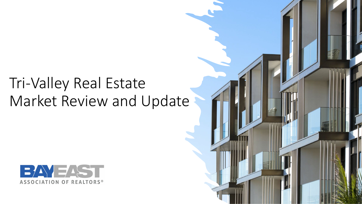# Tri-Valley Real Estate Market Review and Update



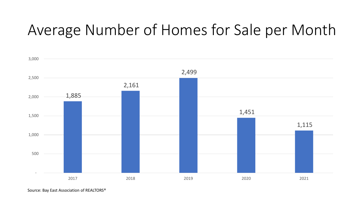# Average Number of Homes for Sale per Month

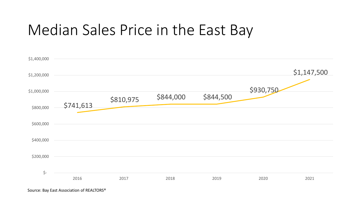## Median Sales Price in the East Bay

| \$1,400,000 |           |           |           |           |           |             |
|-------------|-----------|-----------|-----------|-----------|-----------|-------------|
| \$1,200,000 |           |           |           |           |           | \$1,147,500 |
| \$1,000,000 |           | \$810,975 | \$844,000 | \$844,500 | \$930,750 |             |
| \$800,000   | \$741,613 |           |           |           |           |             |
| \$600,000   |           |           |           |           |           |             |
| \$400,000   |           |           |           |           |           |             |
| \$200,000   |           |           |           |           |           |             |
| $\zeta$ -   | 2016      | 2017      | 2018      | 2019      | 2020      | 2021        |
|             |           |           |           |           |           |             |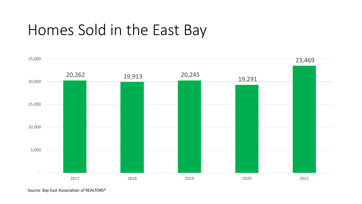## Homes Sold in the East Bay

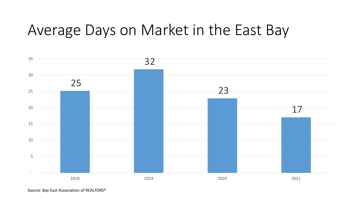## Average Days on Market in the East Bay

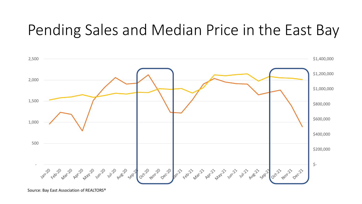## Pending Sales and Median Price in the East Bay

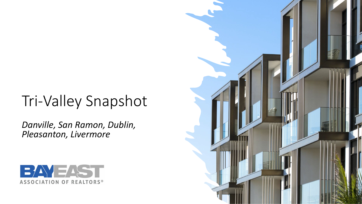# Tri-Valley Snapshot

*Danville, San Ramon, Dublin, Pleasanton, Livermore*



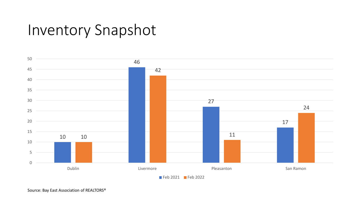### Inventory Snapshot

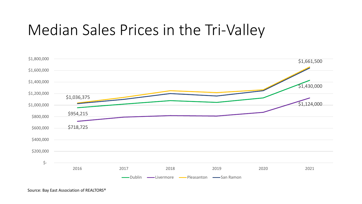## Median Sales Prices in the Tri-Valley

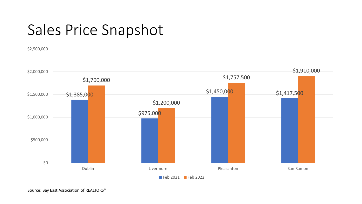# Sales Price Snapshot

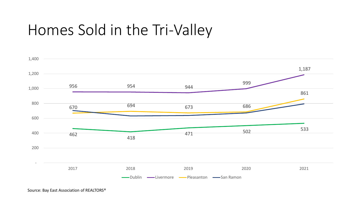# Homes Sold in the Tri-Valley

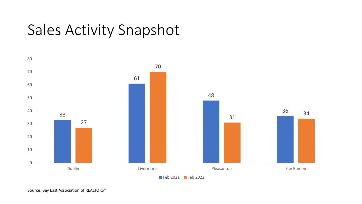# Sales Activity Snapshot

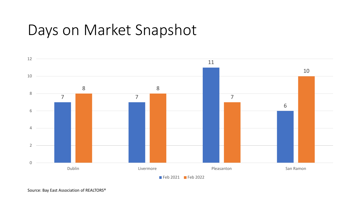# Days on Market Snapshot

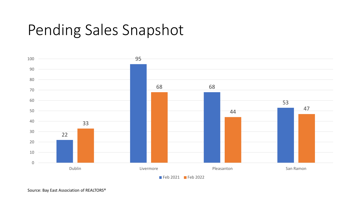### Pending Sales Snapshot